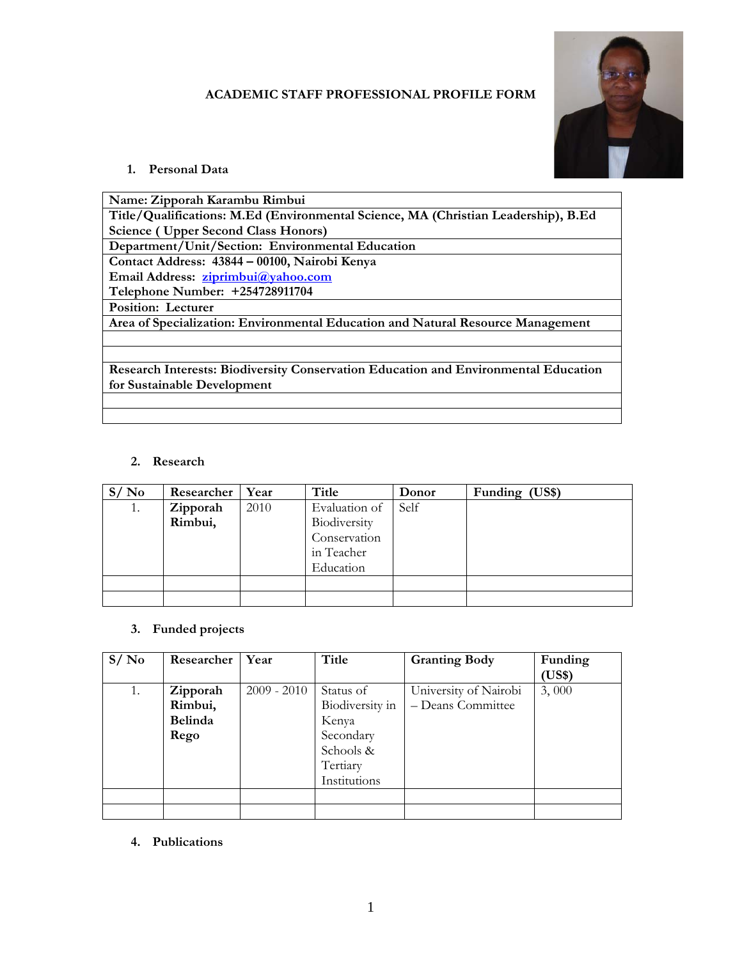### **ACADEMIC STAFF PROFESSIONAL PROFILE FORM**



## **1. Personal Data**

| Name: Zipporah Karambu Rimbui                                                       |
|-------------------------------------------------------------------------------------|
| Title/Qualifications: M.Ed (Environmental Science, MA (Christian Leadership), B.Ed  |
| <b>Science (Upper Second Class Honors)</b>                                          |
| Department/Unit/Section: Environmental Education                                    |
| Contact Address: 43844 - 00100, Nairobi Kenya                                       |
| Email Address: ziprimbui@yahoo.com                                                  |
| Telephone Number: +254728911704                                                     |
| <b>Position: Lecturer</b>                                                           |
| Area of Specialization: Environmental Education and Natural Resource Management     |
|                                                                                     |
|                                                                                     |
| Research Interests: Biodiversity Conservation Education and Environmental Education |
| for Sustainable Development                                                         |
|                                                                                     |
|                                                                                     |

## **2. Research**

| S/No | Researcher | Year | Title         | Donor | Funding (US\$) |
|------|------------|------|---------------|-------|----------------|
| 1.   | Zipporah   | 2010 | Evaluation of | Self  |                |
|      | Rimbui,    |      | Biodiversity  |       |                |
|      |            |      | Conservation  |       |                |
|      |            |      | in Teacher    |       |                |
|      |            |      | Education     |       |                |
|      |            |      |               |       |                |
|      |            |      |               |       |                |

# **3. Funded projects**

| S/No | Researcher     | Year          | Title           | <b>Granting Body</b>  | Funding |
|------|----------------|---------------|-----------------|-----------------------|---------|
|      |                |               |                 |                       | (US\$)  |
| 1.   | Zipporah       | $2009 - 2010$ | Status of       | University of Nairobi | 3,000   |
|      | Rimbui,        |               | Biodiversity in | - Deans Committee     |         |
|      | <b>Belinda</b> |               | Kenya           |                       |         |
|      | Rego           |               | Secondary       |                       |         |
|      |                |               | Schools &       |                       |         |
|      |                |               | Tertiary        |                       |         |
|      |                |               | Institutions    |                       |         |
|      |                |               |                 |                       |         |
|      |                |               |                 |                       |         |

**4. Publications**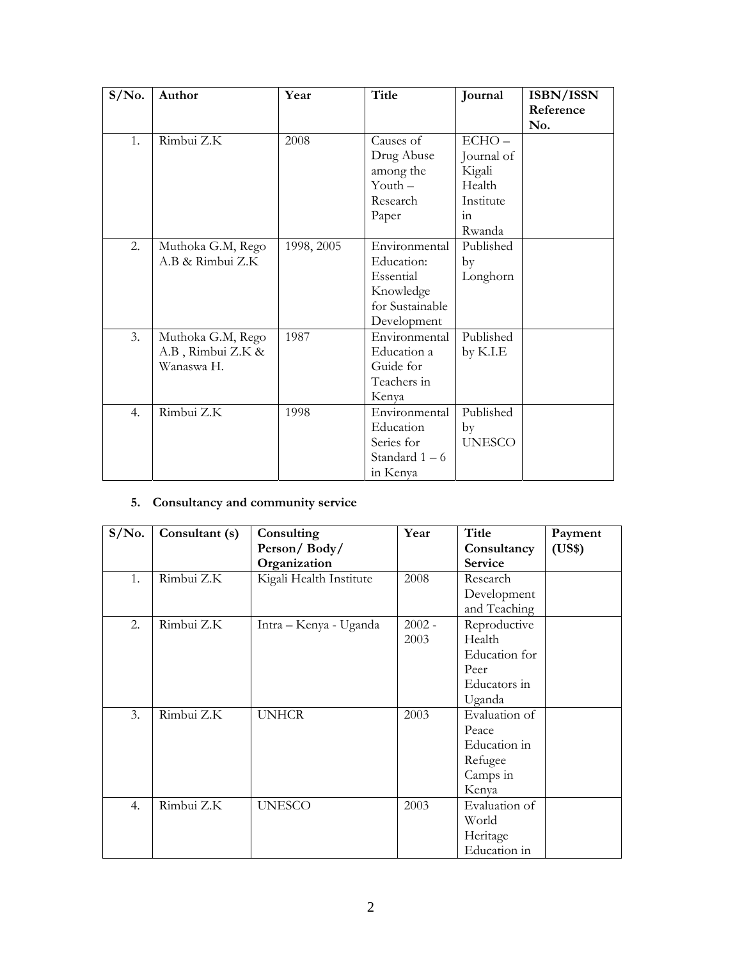| $S/N0$ . | Author            | Year       | <b>Title</b>    | Journal       | ISBN/ISSN |
|----------|-------------------|------------|-----------------|---------------|-----------|
|          |                   |            |                 |               | Reference |
|          |                   |            |                 |               | No.       |
| 1.       | Rimbui Z.K        | 2008       | Causes of       | $ECHO -$      |           |
|          |                   |            | Drug Abuse      | Journal of    |           |
|          |                   |            | among the       | Kigali        |           |
|          |                   |            | Youth $-$       | Health        |           |
|          |                   |            | Research        | Institute     |           |
|          |                   |            | Paper           | 1n            |           |
|          |                   |            |                 | Rwanda        |           |
| 2.       | Muthoka G.M, Rego | 1998, 2005 | Environmental   | Published     |           |
|          | A.B & Rimbui Z.K  |            | Education:      | by            |           |
|          |                   |            | Essential       | Longhorn      |           |
|          |                   |            | Knowledge       |               |           |
|          |                   |            | for Sustainable |               |           |
|          |                   |            | Development     |               |           |
| 3.       | Muthoka G.M, Rego | 1987       | Environmental   | Published     |           |
|          | A.B, Rimbui Z.K & |            | Education a     | by $K.I.E$    |           |
|          | Wanaswa H.        |            | Guide for       |               |           |
|          |                   |            | Teachers in     |               |           |
|          |                   |            | Kenya           |               |           |
| 4.       | Rimbui Z.K        | 1998       | Environmental   | Published     |           |
|          |                   |            | Education       | by            |           |
|          |                   |            | Series for      | <b>UNESCO</b> |           |
|          |                   |            | Standard $1-6$  |               |           |
|          |                   |            | in Kenya        |               |           |

# **5. Consultancy and community service**

| $S/N0$ .       | Consultant (s) | Consulting              | Year     | Title          | Payment |
|----------------|----------------|-------------------------|----------|----------------|---------|
|                |                | Person/Body/            |          | Consultancy    | (US\$)  |
|                |                | Organization            |          | <b>Service</b> |         |
| 1 <sub>1</sub> | Rimbui Z.K     | Kigali Health Institute | 2008     | Research       |         |
|                |                |                         |          | Development    |         |
|                |                |                         |          | and Teaching   |         |
| 2.             | Rimbui Z.K     | Intra – Kenya - Uganda  | $2002 -$ | Reproductive   |         |
|                |                |                         | 2003     | Health         |         |
|                |                |                         |          | Education for  |         |
|                |                |                         |          | Peer           |         |
|                |                |                         |          | Educators in   |         |
|                |                |                         |          | Uganda         |         |
| 3.             | Rimbui Z.K     | <b>UNHCR</b>            | 2003     | Evaluation of  |         |
|                |                |                         |          | Peace          |         |
|                |                |                         |          | Education in   |         |
|                |                |                         |          | Refugee        |         |
|                |                |                         |          | Camps in       |         |
|                |                |                         |          | Kenya          |         |
| 4.             | Rimbui Z.K     | <b>UNESCO</b>           | 2003     | Evaluation of  |         |
|                |                |                         |          | World          |         |
|                |                |                         |          | Heritage       |         |
|                |                |                         |          | Education in   |         |